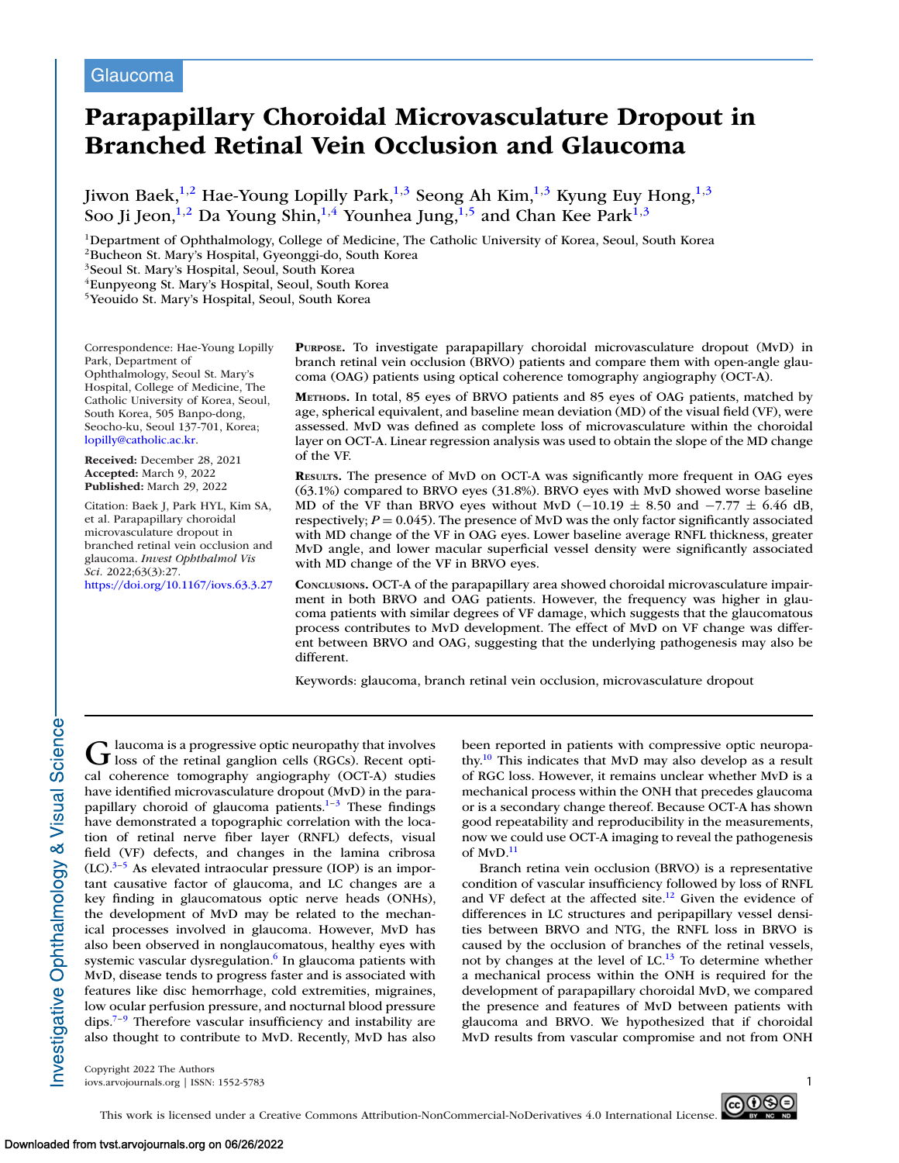# Glaucoma

# **Parapapillary Choroidal Microvasculature Dropout in Branched Retinal Vein Occlusion and Glaucoma**

Jiwon Baek,<sup>1,2</sup> Hae-Young Lopilly Park,<sup>1,3</sup> Seong Ah Kim,<sup>1,3</sup> Kyung Euy Hong,<sup>1,3</sup> Soo Ji Jeon,<sup>1,2</sup> Da Young Shin,<sup>1,4</sup> Younhea Jung,<sup>1,5</sup> and Chan Kee Park<sup>1,3</sup>

<sup>1</sup>Department of Ophthalmology, College of Medicine, The Catholic University of Korea, Seoul, South Korea

2Bucheon St. Mary's Hospital, Gyeonggi-do, South Korea

3Seoul St. Mary's Hospital, Seoul, South Korea

4Eunpyeong St. Mary's Hospital, Seoul, South Korea

5Yeouido St. Mary's Hospital, Seoul, South Korea

Correspondence: Hae-Young Lopilly Park, Department of Ophthalmology, Seoul St. Mary's Hospital, College of Medicine, The Catholic University of Korea, Seoul, South Korea, 505 Banpo-dong, Seocho-ku, Seoul 137-701, Korea; [lopilly@catholic.ac.kr.](mailto:lopilly@catholic.ac.kr)

**Received:** December 28, 2021 **Accepted:** March 9, 2022 **Published:** March 29, 2022

Citation: Baek J, Park HYL, Kim SA, et al. Parapapillary choroidal microvasculature dropout in branched retinal vein occlusion and glaucoma. *Invest Ophthalmol Vis Sci.* 2022;63(3):27.

<https://doi.org/10.1167/iovs.63.3.27>

**PURPOSE.** To investigate parapapillary choroidal microvasculature dropout (MvD) in branch retinal vein occlusion (BRVO) patients and compare them with open-angle glaucoma (OAG) patients using optical coherence tomography angiography (OCT-A).

**METHODS.** In total, 85 eyes of BRVO patients and 85 eyes of OAG patients, matched by age, spherical equivalent, and baseline mean deviation (MD) of the visual field (VF), were assessed. MvD was defined as complete loss of microvasculature within the choroidal layer on OCT-A. Linear regression analysis was used to obtain the slope of the MD change of the VF.

**RESULTS.** The presence of MvD on OCT-A was significantly more frequent in OAG eyes (63.1%) compared to BRVO eyes (31.8%). BRVO eyes with MvD showed worse baseline MD of the VF than BRVO eyes without MvD (−10.19  $\pm$  8.50 and −7.77  $\pm$  6.46 dB, respectively;  $P = 0.045$ ). The presence of MvD was the only factor significantly associated with MD change of the VF in OAG eyes. Lower baseline average RNFL thickness, greater MvD angle, and lower macular superficial vessel density were significantly associated with MD change of the VF in BRVO eyes.

**CONCLUSIONS.** OCT-A of the parapapillary area showed choroidal microvasculature impairment in both BRVO and OAG patients. However, the frequency was higher in glaucoma patients with similar degrees of VF damage, which suggests that the glaucomatous process contributes to MvD development. The effect of MvD on VF change was different between BRVO and OAG, suggesting that the underlying pathogenesis may also be different.

Keywords: glaucoma, branch retinal vein occlusion, microvasculature dropout

Glaucoma is a progressive optic neuropathy that involves<br>I loss of the retinal ganglion cells (RGCs). Recent optical coherence tomography angiography (OCT-A) studies have identified microvasculature dropout (MvD) in the parapapillary choroid of glaucoma patients. $1-3$  These findings have demonstrated a topographic correlation with the location of retinal nerve fiber layer (RNFL) defects, visual field (VF) defects, and changes in the lamina cribrosa  $(LC).$ <sup>3–5</sup> As elevated intraocular pressure (IOP) is an important causative factor of glaucoma, and LC changes are a key finding in glaucomatous optic nerve heads (ONHs), the development of MvD may be related to the mechanical processes involved in glaucoma. However, MvD has also been observed in nonglaucomatous, healthy eyes with systemic vascular dysregulation.<sup>6</sup> In glaucoma patients with MvD, disease tends to progress faster and is associated with features like disc hemorrhage, cold extremities, migraines, low ocular perfusion pressure, and nocturnal blood pressure dips[.7–9](#page-7-0) Therefore vascular insufficiency and instability are also thought to contribute to MvD. Recently, MvD has also been reported in patients with compressive optic neuropathy[.10](#page-7-0) This indicates that MvD may also develop as a result of RGC loss. However, it remains unclear whether MvD is a mechanical process within the ONH that precedes glaucoma or is a secondary change thereof. Because OCT-A has shown good repeatability and reproducibility in the measurements, now we could use OCT-A imaging to reveal the pathogenesis of  $MVD<sup>11</sup>$ 

Branch retina vein occlusion (BRVO) is a representative condition of vascular insufficiency followed by loss of RNFL and VF defect at the affected site. $12$  Given the evidence of differences in LC structures and peripapillary vessel densities between BRVO and NTG, the RNFL loss in BRVO is caused by the occlusion of branches of the retinal vessels, not by changes at the level of  $LC<sup>13</sup>$  To determine whether a mechanical process within the ONH is required for the development of parapapillary choroidal MvD, we compared the presence and features of MvD between patients with glaucoma and BRVO. We hypothesized that if choroidal MvD results from vascular compromise and not from ONH

Copyright 2022 The Authors iovs.arvojournals.org | ISSN: 1552-5783 1



nvestigative Ophthalmology & Visual Science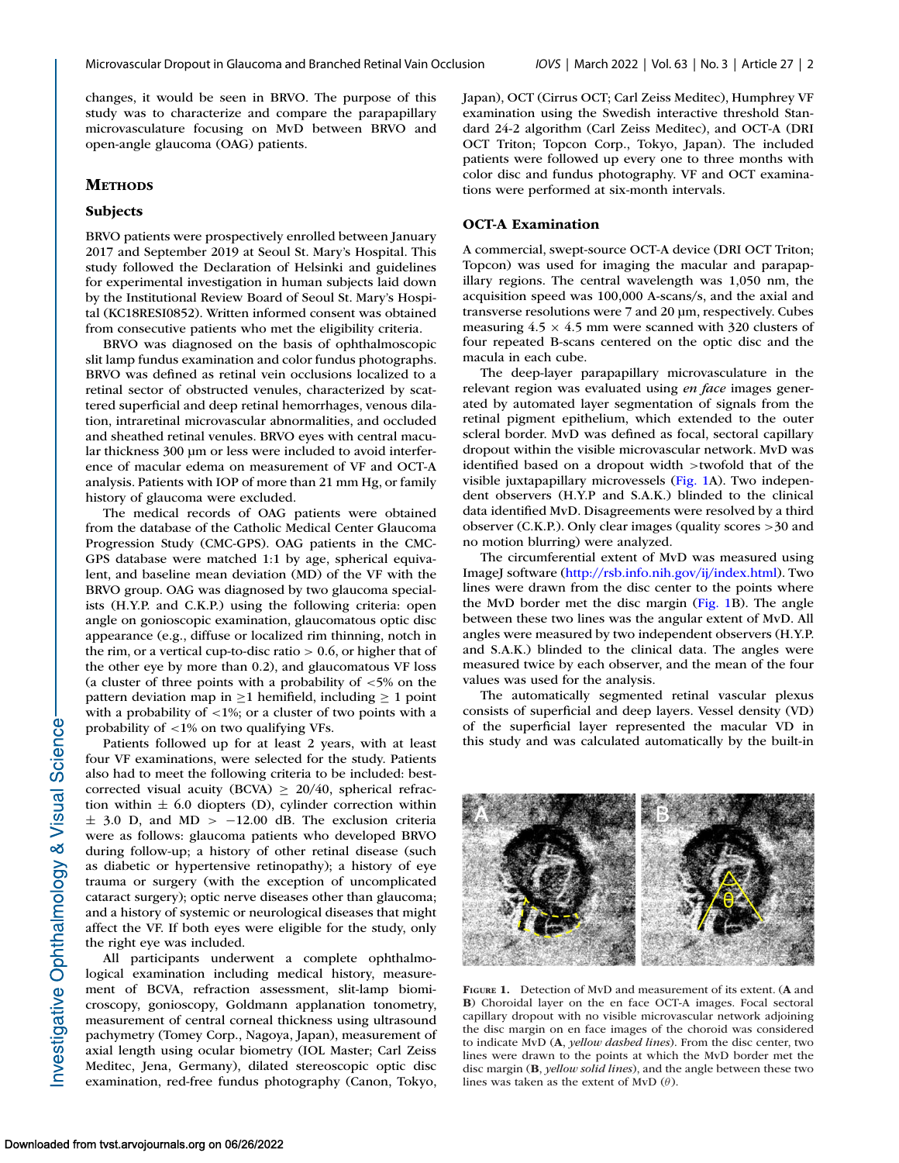changes, it would be seen in BRVO. The purpose of this study was to characterize and compare the parapapillary microvasculature focusing on MvD between BRVO and open-angle glaucoma (OAG) patients.

### **METHODS**

#### **Subjects**

BRVO patients were prospectively enrolled between January 2017 and September 2019 at Seoul St. Mary's Hospital. This study followed the Declaration of Helsinki and guidelines for experimental investigation in human subjects laid down by the Institutional Review Board of Seoul St. Mary's Hospital (KC18RESI0852). Written informed consent was obtained from consecutive patients who met the eligibility criteria.

BRVO was diagnosed on the basis of ophthalmoscopic slit lamp fundus examination and color fundus photographs. BRVO was defined as retinal vein occlusions localized to a retinal sector of obstructed venules, characterized by scattered superficial and deep retinal hemorrhages, venous dilation, intraretinal microvascular abnormalities, and occluded and sheathed retinal venules. BRVO eyes with central macular thickness 300 μm or less were included to avoid interference of macular edema on measurement of VF and OCT-A analysis. Patients with IOP of more than 21 mm Hg, or family history of glaucoma were excluded.

The medical records of OAG patients were obtained from the database of the Catholic Medical Center Glaucoma Progression Study (CMC-GPS). OAG patients in the CMC-GPS database were matched 1:1 by age, spherical equivalent, and baseline mean deviation (MD) of the VF with the BRVO group. OAG was diagnosed by two glaucoma specialists (H.Y.P. and C.K.P.) using the following criteria: open angle on gonioscopic examination, glaucomatous optic disc appearance (e.g., diffuse or localized rim thinning, notch in the rim, or a vertical cup-to-disc ratio  $> 0.6$ , or higher that of the other eye by more than 0.2), and glaucomatous VF loss (a cluster of three points with a probability of  $\lt$ 5% on the pattern deviation map in  $>1$  hemifield, including  $>1$  point with a probability of  $\langle 1\% \rangle$ ; or a cluster of two points with a probability of <1% on two qualifying VFs.

Patients followed up for at least 2 years, with at least four VF examinations, were selected for the study. Patients also had to meet the following criteria to be included: bestcorrected visual acuity (BCVA)  $\geq 20/40$ , spherical refraction within  $\pm$  6.0 diopters (D), cylinder correction within  $\pm$  3.0 D, and MD > -12.00 dB. The exclusion criteria were as follows: glaucoma patients who developed BRVO during follow-up; a history of other retinal disease (such as diabetic or hypertensive retinopathy); a history of eye trauma or surgery (with the exception of uncomplicated cataract surgery); optic nerve diseases other than glaucoma; and a history of systemic or neurological diseases that might affect the VF. If both eyes were eligible for the study, only the right eye was included.

All participants underwent a complete ophthalmological examination including medical history, measurement of BCVA, refraction assessment, slit-lamp biomicroscopy, gonioscopy, Goldmann applanation tonometry, measurement of central corneal thickness using ultrasound pachymetry (Tomey Corp., Nagoya, Japan), measurement of axial length using ocular biometry (IOL Master; Carl Zeiss Meditec, Jena, Germany), dilated stereoscopic optic disc examination, red-free fundus photography (Canon, Tokyo, Japan), OCT (Cirrus OCT; Carl Zeiss Meditec), Humphrey VF examination using the Swedish interactive threshold Standard 24-2 algorithm (Carl Zeiss Meditec), and OCT-A (DRI OCT Triton; Topcon Corp., Tokyo, Japan). The included patients were followed up every one to three months with color disc and fundus photography. VF and OCT examinations were performed at six-month intervals.

#### **OCT-A Examination**

A commercial, swept-source OCT-A device (DRI OCT Triton; Topcon) was used for imaging the macular and parapapillary regions. The central wavelength was 1,050 nm, the acquisition speed was 100,000 A-scans/s, and the axial and transverse resolutions were 7 and 20 μm, respectively. Cubes measuring  $4.5 \times 4.5$  mm were scanned with 320 clusters of four repeated B-scans centered on the optic disc and the macula in each cube.

The deep-layer parapapillary microvasculature in the relevant region was evaluated using *en face* images generated by automated layer segmentation of signals from the retinal pigment epithelium, which extended to the outer scleral border. MvD was defined as focal, sectoral capillary dropout within the visible microvascular network. MvD was identified based on a dropout width >twofold that of the visible juxtapapillary microvessels (Fig. 1A). Two independent observers (H.Y.P and S.A.K.) blinded to the clinical data identified MvD. Disagreements were resolved by a third observer (C.K.P.). Only clear images (quality scores >30 and no motion blurring) were analyzed.

The circumferential extent of MvD was measured using ImageJ software [\(http://rsb.info.nih.gov/ij/index.html\)](http://rsb.info.nih.gov/ij/index.html). Two lines were drawn from the disc center to the points where the MvD border met the disc margin (Fig. 1B). The angle between these two lines was the angular extent of MvD. All angles were measured by two independent observers (H.Y.P. and S.A.K.) blinded to the clinical data. The angles were measured twice by each observer, and the mean of the four values was used for the analysis.

The automatically segmented retinal vascular plexus consists of superficial and deep layers. Vessel density (VD) of the superficial layer represented the macular VD in this study and was calculated automatically by the built-in



**FIGURE 1.** Detection of MvD and measurement of its extent. (**A** and **B**) Choroidal layer on the en face OCT-A images. Focal sectoral capillary dropout with no visible microvascular network adjoining the disc margin on en face images of the choroid was considered to indicate MvD (**A**, *yellow dashed lines*). From the disc center, two lines were drawn to the points at which the MvD border met the disc margin (**B**, *yellow solid lines*), and the angle between these two lines was taken as the extent of MvD  $(\theta)$ .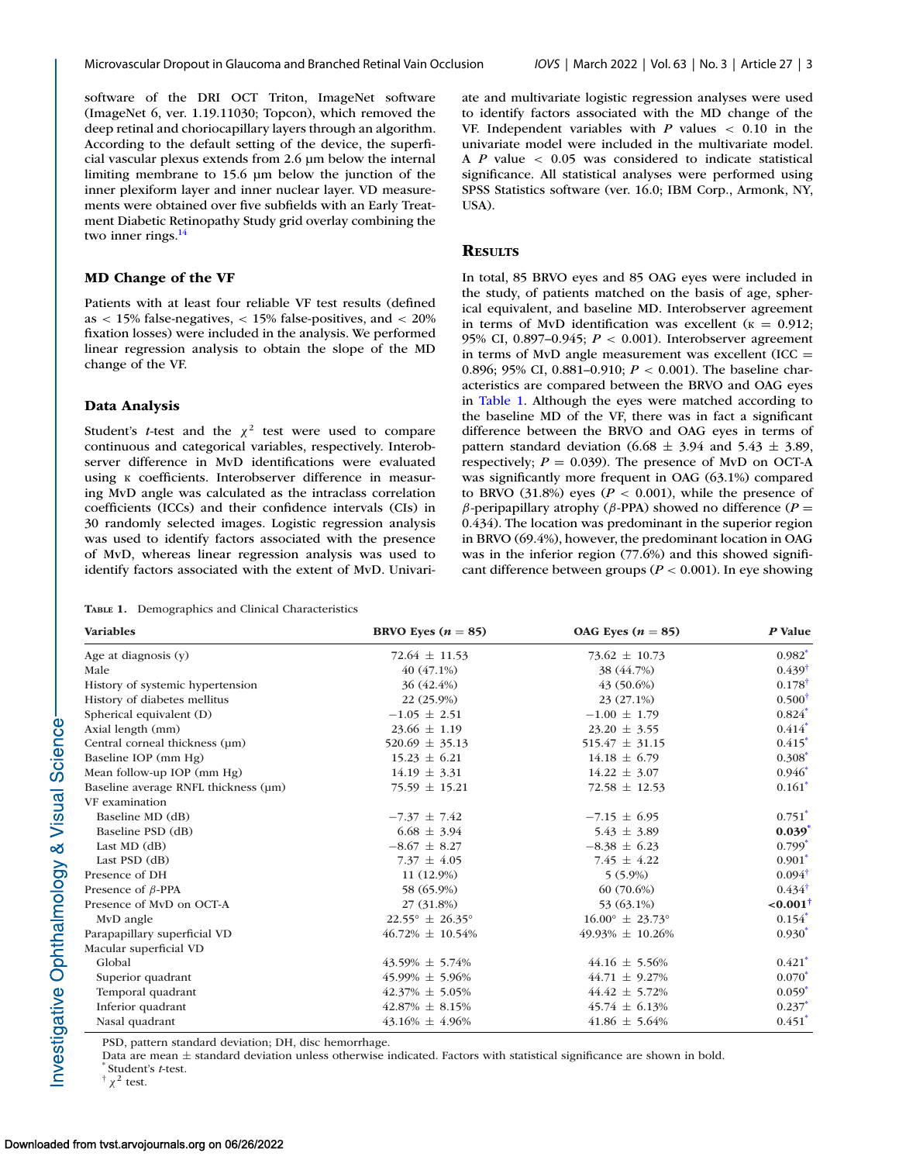software of the DRI OCT Triton, ImageNet software (ImageNet 6, ver. 1.19.11030; Topcon), which removed the deep retinal and choriocapillary layers through an algorithm. According to the default setting of the device, the superficial vascular plexus extends from 2.6 μm below the internal limiting membrane to 15.6 μm below the junction of the inner plexiform layer and inner nuclear layer. VD measurements were obtained over five subfields with an Early Treatment Diabetic Retinopathy Study grid overlay combining the two inner rings.<sup>14</sup>

#### **MD Change of the VF**

Patients with at least four reliable VF test results (defined as < 15% false-negatives, < 15% false-positives, and < 20% fixation losses) were included in the analysis. We performed linear regression analysis to obtain the slope of the MD change of the VF.

#### **Data Analysis**

Student's *t*-test and the  $\chi^2$  test were used to compare continuous and categorical variables, respectively. Interobserver difference in MvD identifications were evaluated using к coefficients. Interobserver difference in measuring MvD angle was calculated as the intraclass correlation coefficients (ICCs) and their confidence intervals (CIs) in 30 randomly selected images. Logistic regression analysis was used to identify factors associated with the presence of MvD, whereas linear regression analysis was used to identify factors associated with the extent of MvD. Univari-

**TABLE 1.** Demographics and Clinical Characteristics

ate and multivariate logistic regression analyses were used to identify factors associated with the MD change of the VF. Independent variables with *P* values < 0.10 in the univariate model were included in the multivariate model. A *P* value < 0.05 was considered to indicate statistical significance. All statistical analyses were performed using SPSS Statistics software (ver. 16.0; IBM Corp., Armonk, NY, USA).

#### **RESULTS**

In total, 85 BRVO eyes and 85 OAG eyes were included in the study, of patients matched on the basis of age, spherical equivalent, and baseline MD. Interobserver agreement in terms of MvD identification was excellent ( $\kappa = 0.912$ ; 95% CI, 0.897–0.945; *P* < 0.001). Interobserver agreement in terms of MvD angle measurement was excellent  $(ICC =$ 0.896; 95% CI, 0.881–0.910; *P* < 0.001). The baseline characteristics are compared between the BRVO and OAG eyes in Table 1. Although the eyes were matched according to the baseline MD of the VF, there was in fact a significant difference between the BRVO and OAG eyes in terms of pattern standard deviation (6.68  $\pm$  3.94 and 5.43  $\pm$  3.89, respectively;  $P = 0.039$ ). The presence of MvD on OCT-A was significantly more frequent in OAG (63.1%) compared to BRVO  $(31.8\%)$  eyes ( $P < 0.001$ ), while the presence of β*-*peripapillary atrophy (β-PPA) showed no difference (*P* = 0.434). The location was predominant in the superior region in BRVO (69.4%), however, the predominant location in OAG was in the inferior region (77.6%) and this showed significant difference between groups ( $P < 0.001$ ). In eye showing

| <b>Variables</b>                     | BRVO Eyes $(n = 85)$              | OAG Eyes $(n = 85)$               | P Value              |
|--------------------------------------|-----------------------------------|-----------------------------------|----------------------|
| Age at diagnosis $(y)$               | $72.64 \pm 11.53$                 | $73.62 \pm 10.73$                 | $0.982^*$            |
| Male                                 | 40 (47.1%)                        | 38 (44.7%)                        | $0.439^{\dagger}$    |
| History of systemic hypertension     | 36 (42.4%)                        | $43(50.6\%)$                      | $0.178^{\dagger}$    |
| History of diabetes mellitus         | 22 (25.9%)                        | $23(27.1\%)$                      | $0.500^{\dagger}$    |
| Spherical equivalent (D)             | $-1.05 \pm 2.51$                  | $-1.00 \pm 1.79$                  | $0.824*$             |
| Axial length (mm)                    | $23.66 \pm 1.19$                  | $23.20 \pm 3.55$                  | $0.414*$             |
| Central corneal thickness (µm)       | $520.69 \pm 35.13$                | $515.47 \pm 31.15$                | $0.415$ <sup>*</sup> |
| Baseline IOP (mm Hg)                 | $15.23 \pm 6.21$                  | $14.18 \pm 6.79$                  | $0.308^*$            |
| Mean follow-up IOP (mm Hg)           | $14.19 \pm 3.31$                  | $14.22 \pm 3.07$                  | $0.946^*$            |
| Baseline average RNFL thickness (µm) | $75.59 \pm 15.21$                 | $72.58 \pm 12.53$                 | $0.161^*$            |
| VF examination                       |                                   |                                   |                      |
| Baseline MD (dB)                     | $-7.37 \pm 7.42$                  | $-7.15 \pm 6.95$                  | $0.751$ <sup>*</sup> |
| Baseline PSD (dB)                    | $6.68 \pm 3.94$                   | $5.43 \pm 3.89$                   | $0.039^*$            |
| Last MD $(dB)$                       | $-8.67 \pm 8.27$                  | $-8.38 \pm 6.23$                  | $0.799$ <sup>*</sup> |
| Last PSD (dB)                        | 7.37 $\pm$ 4.05                   | 7.45 $\pm$ 4.22                   | $0.901^*$            |
| Presence of DH                       | 11 (12.9%)                        | $5(5.9\%)$                        | $0.094^{\dagger}$    |
| Presence of $\beta$ -PPA             | 58 (65.9%)                        | $60(70.6\%)$                      | $0.434^{\dagger}$    |
| Presence of MvD on OCT-A             | 27 (31.8%)                        | 53 (63.1%)                        | $< 0.001^{\dagger}$  |
| MvD angle                            | $22.55^{\circ} \pm 26.35^{\circ}$ | $16.00^{\circ} \pm 23.73^{\circ}$ | $0.154$ <sup>*</sup> |
| Parapapillary superficial VD         | $46.72\% \pm 10.54\%$             | $49.93\% \pm 10.26\%$             | $0.930^*$            |
| Macular superficial VD               |                                   |                                   |                      |
| Global                               | $43.59\% \pm 5.74\%$              | $44.16 \pm 5.56\%$                | $0.421$ <sup>*</sup> |
| Superior quadrant                    | $45.99\% \pm 5.96\%$              | $44.71 \pm 9.27\%$                | $0.070*$             |
| Temporal quadrant                    | $42.37\% \pm 5.05\%$              | $44.42 \pm 5.72\%$                | $0.059^*$            |
| Inferior quadrant                    | $42.87\% \pm 8.15\%$              | $45.74 \pm 6.13\%$                | $0.237*$             |
| Nasal quadrant                       | $43.16\% \pm 4.96\%$              | $41.86 \pm 5.64\%$                | $0.451$ <sup>*</sup> |

PSD, pattern standard deviation; DH, disc hemorrhage.

Data are mean <sup>±</sup> standard deviation unless otherwise indicated. Factors with statistical significance are shown in bold. \* Student's *<sup>t</sup>*-test.

 $\dagger \chi^2$  test.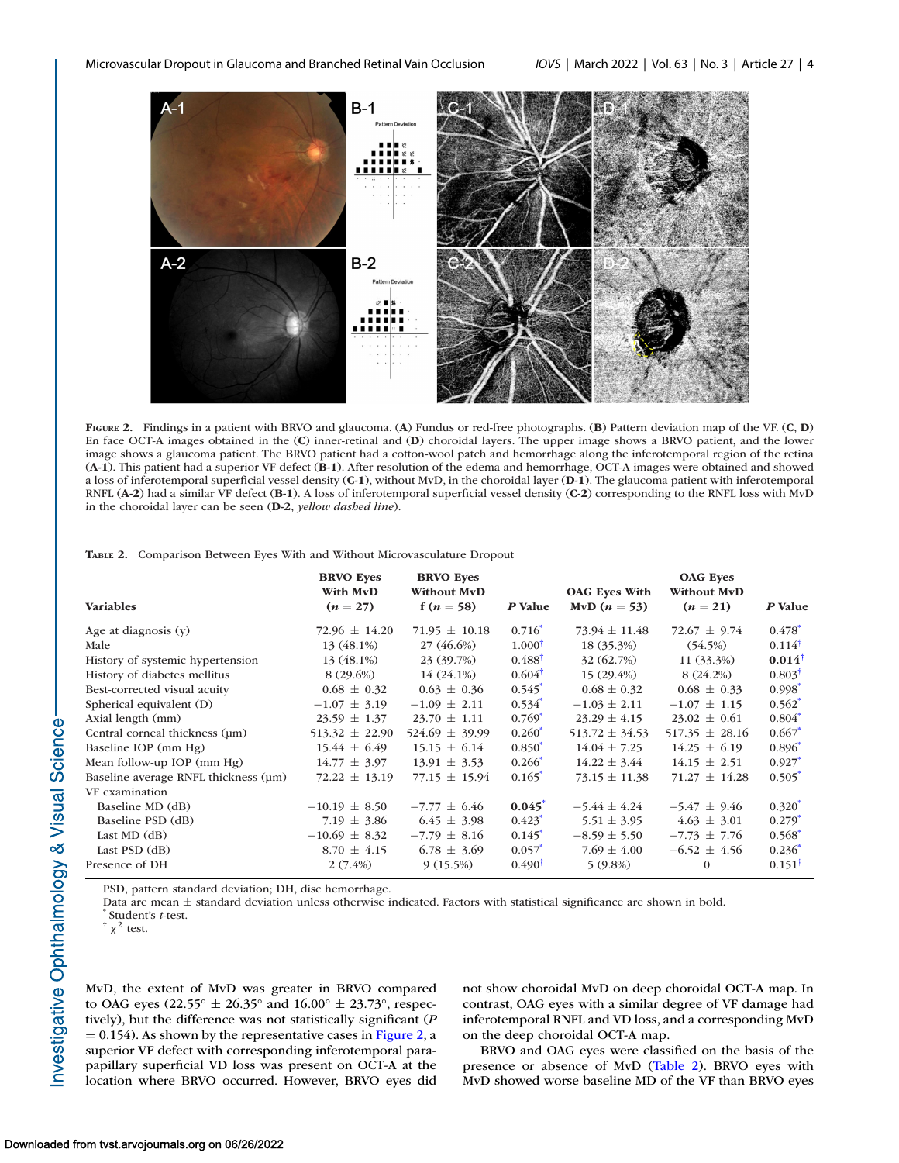

**FIGURE 2.** Findings in a patient with BRVO and glaucoma. (**A**) Fundus or red-free photographs. (**B**) Pattern deviation map of the VF. (**C**, **D**) En face OCT-A images obtained in the (**C**) inner-retinal and (**D**) choroidal layers. The upper image shows a BRVO patient, and the lower image shows a glaucoma patient. The BRVO patient had a cotton-wool patch and hemorrhage along the inferotemporal region of the retina (**A-1**). This patient had a superior VF defect (**B-1**). After resolution of the edema and hemorrhage, OCT-A images were obtained and showed a loss of inferotemporal superficial vessel density (**C-1**), without MvD, in the choroidal layer (**D-1**). The glaucoma patient with inferotemporal RNFL (**A-2**) had a similar VF defect (**B-1**). A loss of inferotemporal superficial vessel density (**C-2**) corresponding to the RNFL loss with MvD in the choroidal layer can be seen (**D-2**, *yellow dashed line*).

**TABLE 2.** Comparison Between Eyes With and Without Microvasculature Dropout

| <b>Variables</b>                     | <b>BRVO Eyes</b><br>With MvD<br>$(n = 27)$ | <b>BRVO Eyes</b><br><b>Without MvD</b><br>f ( <i>n</i> = 58) | P Value              | <b>OAG</b> Eyes With<br>MvD $(n = 53)$ | <b>OAG</b> Eyes<br>Without MvD<br>$(n = 21)$ | P Value              |
|--------------------------------------|--------------------------------------------|--------------------------------------------------------------|----------------------|----------------------------------------|----------------------------------------------|----------------------|
|                                      |                                            |                                                              |                      |                                        |                                              |                      |
| Age at diagnosis $(y)$               | $72.96 \pm 14.20$                          | $71.95 \pm 10.18$                                            | $0.716^*$            | $73.94 \pm 11.48$                      | $72.67 \pm 9.74$                             | $0.478$ <sup>*</sup> |
| Male                                 | 13 (48.1%)                                 | 27 (46.6%)                                                   | $1.000^{\dagger}$    | 18 (35.3%)                             | (54.5%)                                      | $0.114^{\dagger}$    |
| History of systemic hypertension     | 13 (48.1%)                                 | 23 (39.7%)                                                   | $0.488^{\dagger}$    | 32 (62.7%)                             | 11 (33.3%)                                   | $0.014^{\dagger}$    |
| History of diabetes mellitus         | $8(29.6\%)$                                | $14(24.1\%)$                                                 | $0.604^{\dagger}$    | $15(29.4\%)$                           | 8(24.2%)                                     | $0.803^{\dagger}$    |
| Best-corrected visual acuity         | $0.68 \pm 0.32$                            | $0.63 \pm 0.36$                                              | $0.545$ <sup>*</sup> | $0.68 \pm 0.32$                        | $0.68 \pm 0.33$                              | $0.998*$             |
| Spherical equivalent (D)             | $-1.07 \pm 3.19$                           | $-1.09 \pm 2.11$                                             | $0.534$ <sup>*</sup> | $-1.03 \pm 2.11$                       | $-1.07 \pm 1.15$                             | $0.562^*$            |
| Axial length (mm)                    | $23.59 \pm 1.37$                           | $23.70 \pm 1.11$                                             | $0.769*$             | $23.29 \pm 4.15$                       | $23.02 \pm 0.61$                             | $0.804*$             |
| Central corneal thickness (um)       | $513.32 \pm 22.90$                         | $524.69 \pm 39.99$                                           | $0.260^*$            | $513.72 \pm 34.53$                     | $517.35 \pm 28.16$                           | $0.667*$             |
| Baseline IOP (mm Hg)                 | $15.44 \pm 6.49$                           | $15.15 \pm 6.14$                                             | $0.850*$             | $14.04 \pm 7.25$                       | $14.25 \pm 6.19$                             | $0.896*$             |
| Mean follow-up IOP (mm Hg)           | $14.77 \pm 3.97$                           | $13.91 \pm 3.53$                                             | $0.266*$             | $14.22 \pm 3.44$                       | $14.15 \pm 2.51$                             | $0.927$ <sup>*</sup> |
| Baseline average RNFL thickness (um) | $72.22 \pm 13.19$                          | $77.15 \pm 15.94$                                            | $0.165*$             | $73.15 \pm 11.38$                      | $71.27 \pm 14.28$                            | $0.505*$             |
| VF examination                       |                                            |                                                              |                      |                                        |                                              |                      |
| Baseline MD (dB)                     | $-10.19 \pm 8.50$                          | $-7.77 \pm 6.46$                                             | $0.045^*$            | $-5.44 \pm 4.24$                       | $-5.47 \pm 9.46$                             | $0.320^{*}$          |
| Baseline PSD (dB)                    | 7.19 $\pm$ 3.86                            | $6.45 \pm 3.98$                                              | $0.423$ <sup>*</sup> | $5.51 \pm 3.95$                        | $4.63 \pm 3.01$                              | $0.279*$             |
| Last MD $(dB)$                       | $-10.69 \pm 8.32$                          | $-7.79 \pm 8.16$                                             | $0.145^*$            | $-8.59 \pm 5.50$                       | $-7.73 \pm 7.76$                             | $0.568*$             |
| Last $PSD$ (dB)                      | $8.70 \pm 4.15$                            | $6.78 \pm 3.69$                                              | $0.057^*$            | $7.69 \pm 4.00$                        | $-6.52 \pm 4.56$                             | $0.236^*$            |
| Presence of DH                       | $2(7.4\%)$                                 | 9(15.5%)                                                     | $0.490^{\dagger}$    | $5(9.8\%)$                             | $\Omega$                                     | $0.151^{\dagger}$    |

PSD, pattern standard deviation; DH, disc hemorrhage.

Data are mean <sup>±</sup> standard deviation unless otherwise indicated. Factors with statistical significance are shown in bold. \* Student's *<sup>t</sup>*-test.

<sup>†</sup>  $χ$ <sup>2</sup> test.

MvD, the extent of MvD was greater in BRVO compared to OAG eyes (22.55°  $\pm$  26.35° and 16.00°  $\pm$  23.73°, respectively), but the difference was not statistically significant (*P*  $= 0.154$ ). As shown by the representative cases in Figure 2, a superior VF defect with corresponding inferotemporal parapapillary superficial VD loss was present on OCT-A at the location where BRVO occurred. However, BRVO eyes did not show choroidal MvD on deep choroidal OCT-A map. In contrast, OAG eyes with a similar degree of VF damage had inferotemporal RNFL and VD loss, and a corresponding MvD on the deep choroidal OCT-A map.

BRVO and OAG eyes were classified on the basis of the presence or absence of MvD (Table 2). BRVO eyes with MvD showed worse baseline MD of the VF than BRVO eyes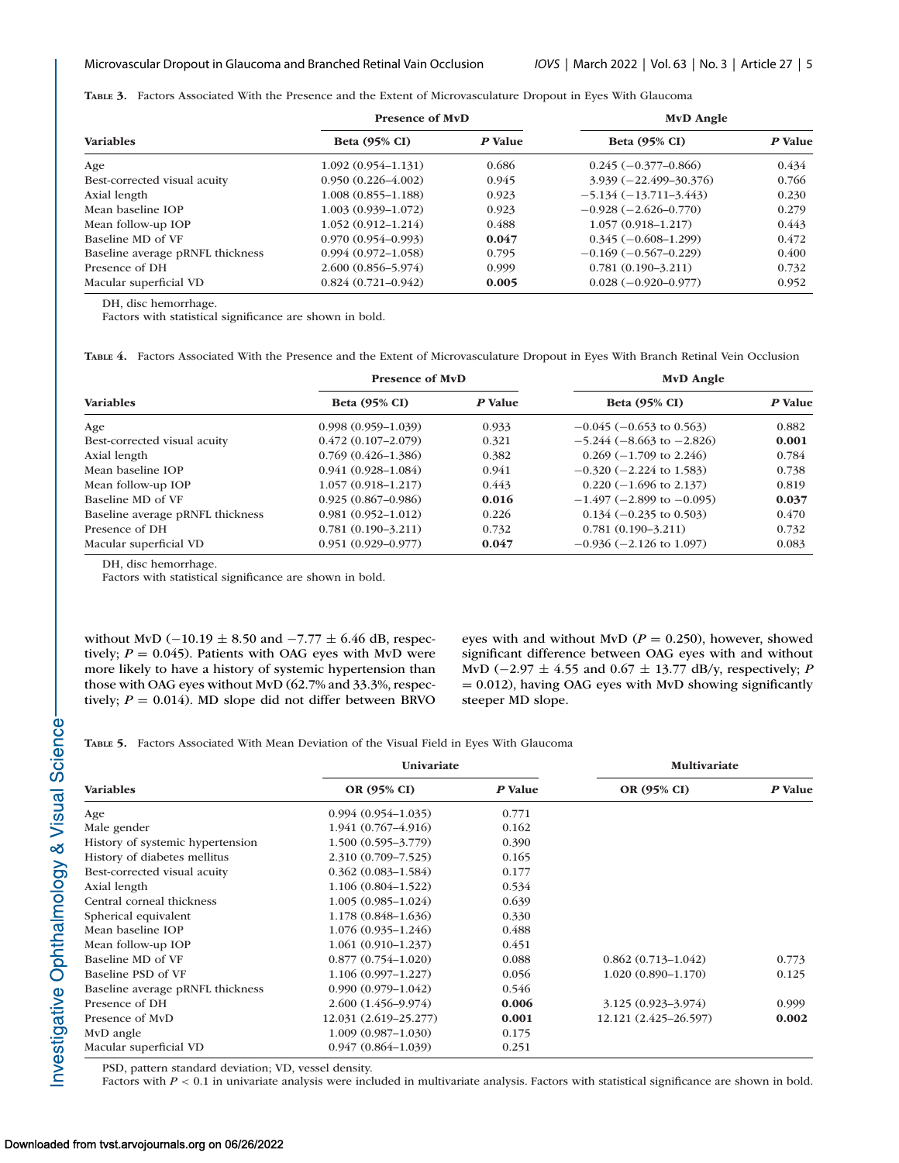<span id="page-4-0"></span>**TABLE 3.** Factors Associated With the Presence and the Extent of Microvasculature Dropout in Eyes With Glaucoma

| <b>Variables</b>                 | <b>Presence of MvD</b> |         | MvD Angle                  |         |
|----------------------------------|------------------------|---------|----------------------------|---------|
|                                  | <b>Beta (95% CI)</b>   | P Value | <b>Beta (95% CI)</b>       | P Value |
| Age                              | $1.092(0.954 - 1.131)$ | 0.686   | $0.245 (-0.377 - 0.866)$   | 0.434   |
| Best-corrected visual acuity     | $0.950(0.226 - 4.002)$ | 0.945   | $3.939 (-22.499 - 30.376)$ | 0.766   |
| Axial length                     | $1.008(0.855 - 1.188)$ | 0.923   | $-5.134(-13.711-3.443)$    | 0.230   |
| Mean baseline IOP                | $1.003(0.939 - 1.072)$ | 0.923   | $-0.928(-2.626-0.770)$     | 0.279   |
| Mean follow-up IOP               | $1.052(0.912 - 1.214)$ | 0.488   | $1.057(0.918 - 1.217)$     | 0.443   |
| Baseline MD of VF                | $0.970(0.954 - 0.993)$ | 0.047   | $0.345(-0.608-1.299)$      | 0.472   |
| Baseline average pRNFL thickness | $0.994(0.972 - 1.058)$ | 0.795   | $-0.169(-0.567-0.229)$     | 0.400   |
| Presence of DH                   | $2.600(0.856 - 5.974)$ | 0.999   | $0.781(0.190 - 3.211)$     | 0.732   |
| Macular superficial VD           | $0.824(0.721 - 0.942)$ | 0.005   | $0.028(-0.920-0.977)$      | 0.952   |

DH, disc hemorrhage.

Factors with statistical significance are shown in bold.

**TABLE 4.** Factors Associated With the Presence and the Extent of Microvasculature Dropout in Eyes With Branch Retinal Vein Occlusion

| <b>Variables</b>                 | <b>Presence of MvD</b> |         | MvD Angle                         |         |
|----------------------------------|------------------------|---------|-----------------------------------|---------|
|                                  | <b>Beta (95% CI)</b>   | P Value | <b>Beta (95% CI)</b>              | P Value |
| Age                              | $0.998(0.959 - 1.039)$ | 0.933   | $-0.045$ ( $-0.653$ to 0.563)     | 0.882   |
| Best-corrected visual acuity     | $0.472(0.107-2.079)$   | 0.321   | $-5.244$ ( $-8.663$ to $-2.826$ ) | 0.001   |
| Axial length                     | $0.769(0.426 - 1.386)$ | 0.382   | $0.269(-1.709)$ to 2.246)         | 0.784   |
| Mean baseline IOP                | $0.941(0.928 - 1.084)$ | 0.941   | $-0.320$ ( $-2.224$ to 1.583)     | 0.738   |
| Mean follow-up IOP               | $1.057(0.918 - 1.217)$ | 0.443   | $0.220$ (-1.696 to 2.137)         | 0.819   |
| Baseline MD of VF                | $0.925(0.867 - 0.986)$ | 0.016   | $-1.497$ ( $-2.899$ to $-0.095$ ) | 0.037   |
| Baseline average pRNFL thickness | $0.981(0.952 - 1.012)$ | 0.226   | $0.134 (-0.235$ to $0.503)$       | 0.470   |
| Presence of DH                   | $0.781(0.190 - 3.211)$ | 0.732   | $0.781(0.190 - 3.211)$            | 0.732   |
| Macular superficial VD           | $0.951(0.929 - 0.977)$ | 0.047   | $-0.936$ ( $-2.126$ to 1.097)     | 0.083   |

DH, disc hemorrhage.

Factors with statistical significance are shown in bold.

without MvD (−10.19  $\pm$  8.50 and −7.77  $\pm$  6.46 dB, respectively;  $P = 0.045$ ). Patients with OAG eyes with MvD were more likely to have a history of systemic hypertension than those with OAG eyes without MvD (62.7% and 33.3%, respectively;  $P = 0.014$ ). MD slope did not differ between BRVO eyes with and without MvD ( $P = 0.250$ ), however, showed significant difference between OAG eyes with and without MvD (−2.97 ± 4.55 and 0.67 ± 13.77 dB/y, respectively; *P*  $= 0.012$ ), having OAG eyes with MvD showing significantly steeper MD slope.

**TABLE 5.** Factors Associated With Mean Deviation of the Visual Field in Eyes With Glaucoma

|                                  | <b>Univariate</b>      |         | Multivariate           |         |
|----------------------------------|------------------------|---------|------------------------|---------|
| <b>Variables</b>                 | OR (95% CI)            | P Value | OR (95% CI)            | P Value |
| Age                              | $0.994(0.954 - 1.035)$ | 0.771   |                        |         |
| Male gender                      | $1.941(0.767 - 4.916)$ | 0.162   |                        |         |
| History of systemic hypertension | $1.500(0.595 - 3.779)$ | 0.390   |                        |         |
| History of diabetes mellitus     | 2.310 (0.709-7.525)    | 0.165   |                        |         |
| Best-corrected visual acuity     | $0.362(0.083 - 1.584)$ | 0.177   |                        |         |
| Axial length                     | $1.106(0.804 - 1.522)$ | 0.534   |                        |         |
| Central corneal thickness        | $1.005(0.985 - 1.024)$ | 0.639   |                        |         |
| Spherical equivalent             | $1.178(0.848 - 1.636)$ | 0.330   |                        |         |
| Mean baseline IOP                | $1.076(0.935 - 1.246)$ | 0.488   |                        |         |
| Mean follow-up IOP               | $1.061(0.910-1.237)$   | 0.451   |                        |         |
| Baseline MD of VF                | $0.877(0.754 - 1.020)$ | 0.088   | $0.862(0.713 - 1.042)$ | 0.773   |
| Baseline PSD of VF               | $1.106(0.997-1.227)$   | 0.056   | $1.020(0.890 - 1.170)$ | 0.125   |
| Baseline average pRNFL thickness | $0.990(0.979 - 1.042)$ | 0.546   |                        |         |
| Presence of DH                   | $2.600(1.456 - 9.974)$ | 0.006   | $3.125(0.923 - 3.974)$ | 0.999   |
| Presence of MvD                  | 12.031 (2.619–25.277)  | 0.001   | 12.121 (2.425–26.597)  | 0.002   |
| MvD angle                        | $1.009(0.987-1.030)$   | 0.175   |                        |         |
| Macular superficial VD           | $0.947(0.864 - 1.039)$ | 0.251   |                        |         |

PSD, pattern standard deviation; VD, vessel density.

Factors with *P* < 0.1 in univariate analysis were included in multivariate analysis. Factors with statistical significance are shown in bold.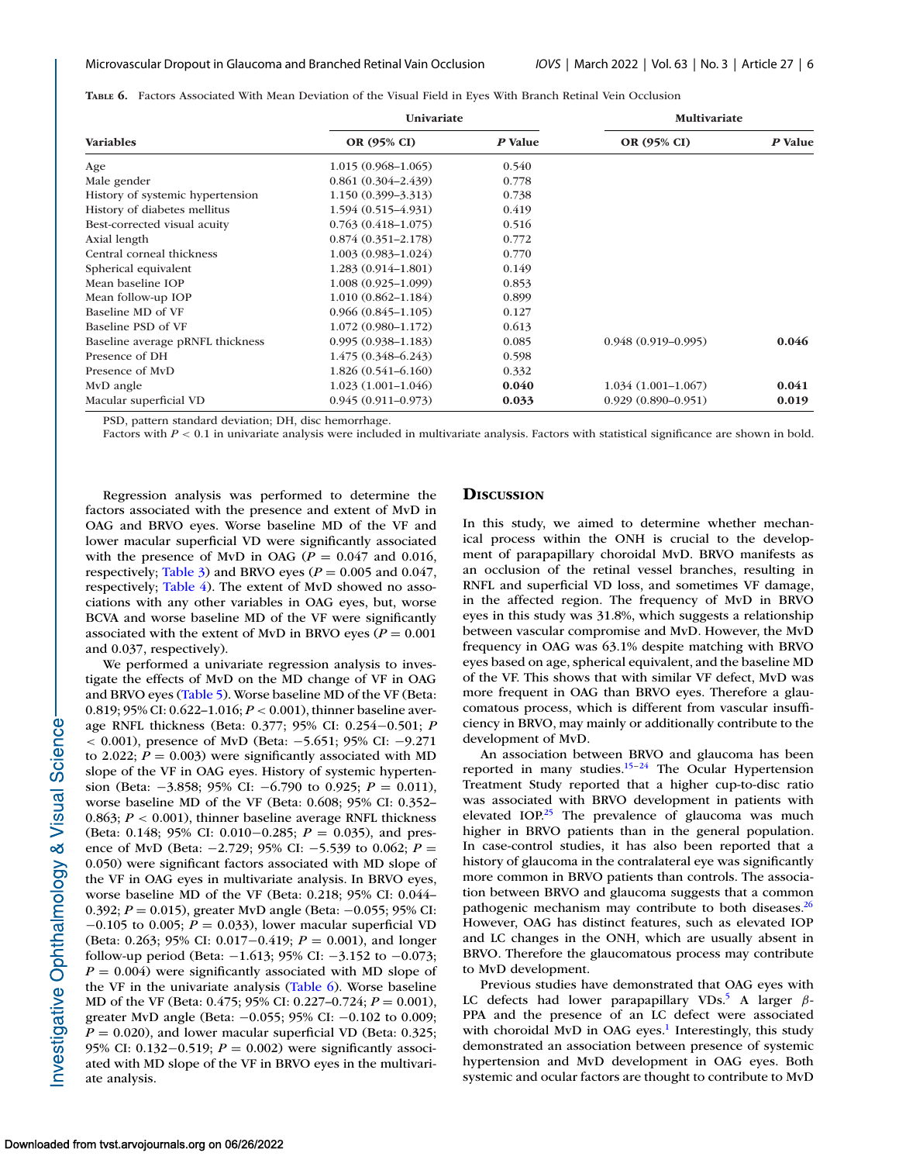**TABLE 6.** Factors Associated With Mean Deviation of the Visual Field in Eyes With Branch Retinal Vein Occlusion

| <b>Variables</b>                 | Univariate             |         | Multivariate           |         |
|----------------------------------|------------------------|---------|------------------------|---------|
|                                  | OR (95% CI)            | P Value | OR (95% CI)            | P Value |
| Age                              | $1.015(0.968 - 1.065)$ | 0.540   |                        |         |
| Male gender                      | $0.861(0.304 - 2.439)$ | 0.778   |                        |         |
| History of systemic hypertension | $1.150(0.399 - 3.313)$ | 0.738   |                        |         |
| History of diabetes mellitus     | $1.594(0.515 - 4.931)$ | 0.419   |                        |         |
| Best-corrected visual acuity     | $0.763(0.418 - 1.075)$ | 0.516   |                        |         |
| Axial length                     | $0.874(0.351 - 2.178)$ | 0.772   |                        |         |
| Central corneal thickness        | $1.003(0.983 - 1.024)$ | 0.770   |                        |         |
| Spherical equivalent             | $1.283(0.914 - 1.801)$ | 0.149   |                        |         |
| Mean baseline IOP                | $1.008(0.925-1.099)$   | 0.853   |                        |         |
| Mean follow-up IOP               | $1.010(0.862 - 1.184)$ | 0.899   |                        |         |
| Baseline MD of VF                | $0.966(0.845 - 1.105)$ | 0.127   |                        |         |
| Baseline PSD of VF               | $1.072(0.980 - 1.172)$ | 0.613   |                        |         |
| Baseline average pRNFL thickness | $0.995(0.938 - 1.183)$ | 0.085   | $0.948(0.919 - 0.995)$ | 0.046   |
| Presence of DH                   | $1.475(0.348 - 6.243)$ | 0.598   |                        |         |
| Presence of MyD                  | $1.826(0.541 - 6.160)$ | 0.332   |                        |         |
| MvD angle                        | $1.023(1.001-1.046)$   | 0.040   | $1.034(1.001-1.067)$   | 0.041   |
| Macular superficial VD           | $0.945(0.911 - 0.973)$ | 0.033   | $0.929(0.890 - 0.951)$ | 0.019   |

PSD, pattern standard deviation; DH, disc hemorrhage.

Factors with *P* < 0.1 in univariate analysis were included in multivariate analysis. Factors with statistical significance are shown in bold.

Regression analysis was performed to determine the factors associated with the presence and extent of MvD in OAG and BRVO eyes. Worse baseline MD of the VF and lower macular superficial VD were significantly associated with the presence of MvD in OAG ( $P = 0.047$  and 0.016, respectively; [Table 3\)](#page-4-0) and BRVO eyes ( $P = 0.005$  and 0.047, respectively; [Table 4\)](#page-4-0). The extent of MvD showed no associations with any other variables in OAG eyes, but, worse BCVA and worse baseline MD of the VF were significantly associated with the extent of MvD in BRVO eyes ( $P = 0.001$ ) and 0.037, respectively).

We performed a univariate regression analysis to investigate the effects of MvD on the MD change of VF in OAG and BRVO eyes [\(Table 5\)](#page-4-0). Worse baseline MD of the VF (Beta: 0.819; 95% CI: 0.622–1.016; *P* < 0.001), thinner baseline average RNFL thickness (Beta: 0.377; 95% CI: 0.254−0.501; *P* < 0.001), presence of MvD (Beta: −5.651; 95% CI: −9.271 to 2.022;  $P = 0.003$ ) were significantly associated with MD slope of the VF in OAG eyes. History of systemic hypertension (Beta: −3.858; 95% CI: −6.790 to 0.925; *P* = 0.011), worse baseline MD of the VF (Beta: 0.608; 95% CI: 0.352– 0.863;  $P < 0.001$ ), thinner baseline average RNFL thickness (Beta: 0.148; 95% CI: 0.010−0.285; *P* = 0.035), and presence of MvD (Beta: −2.729; 95% CI: −5.539 to 0.062; *P* = 0.050) were significant factors associated with MD slope of the VF in OAG eyes in multivariate analysis. In BRVO eyes, worse baseline MD of the VF (Beta: 0.218; 95% CI: 0.044– 0.392; *P* = 0.015), greater MvD angle (Beta: −0.055; 95% CI: −0.105 to 0.005; *P* = 0.033), lower macular superficial VD (Beta: 0.263; 95% CI: 0.017−0.419; *P* = 0.001), and longer follow-up period (Beta:  $-1.613$ ; 95% CI:  $-3.152$  to  $-0.073$ ;  $P = 0.004$ ) were significantly associated with MD slope of the VF in the univariate analysis (Table 6). Worse baseline MD of the VF (Beta: 0.475; 95% CI: 0.227–0.724; *P* = 0.001), greater MvD angle (Beta: −0.055; 95% CI: −0.102 to 0.009;  $P = 0.020$ ), and lower macular superficial VD (Beta: 0.325; 95% CI: 0.132−0.519; *P* = 0.002) were significantly associated with MD slope of the VF in BRVO eyes in the multivariate analysis.

## **DISCUSSION**

In this study, we aimed to determine whether mechanical process within the ONH is crucial to the development of parapapillary choroidal MvD. BRVO manifests as an occlusion of the retinal vessel branches, resulting in RNFL and superficial VD loss, and sometimes VF damage, in the affected region. The frequency of MvD in BRVO eyes in this study was 31.8%, which suggests a relationship between vascular compromise and MvD. However, the MvD frequency in OAG was 63.1% despite matching with BRVO eyes based on age, spherical equivalent, and the baseline MD of the VF. This shows that with similar VF defect, MvD was more frequent in OAG than BRVO eyes. Therefore a glaucomatous process, which is different from vascular insufficiency in BRVO, may mainly or additionally contribute to the development of MvD.

An association between BRVO and glaucoma has been reported in many studies.<sup>15–24</sup> The Ocular Hypertension Treatment Study reported that a higher cup-to-disc ratio was associated with BRVO development in patients with elevated IOP.<sup>25</sup> The prevalence of glaucoma was much higher in BRVO patients than in the general population. In case-control studies, it has also been reported that a history of glaucoma in the contralateral eye was significantly more common in BRVO patients than controls. The association between BRVO and glaucoma suggests that a common pathogenic mechanism may contribute to both diseases.<sup>26</sup> However, OAG has distinct features, such as elevated IOP and LC changes in the ONH, which are usually absent in BRVO. Therefore the glaucomatous process may contribute to MvD development.

Previous studies have demonstrated that OAG eyes with LC defects had lower parapapillary VDs.<sup>5</sup> A larger  $\beta$ -PPA and the presence of an LC defect were associated with choroidal MvD in OAG eyes.<sup>1</sup> Interestingly, this study demonstrated an association between presence of systemic hypertension and MvD development in OAG eyes. Both systemic and ocular factors are thought to contribute to MvD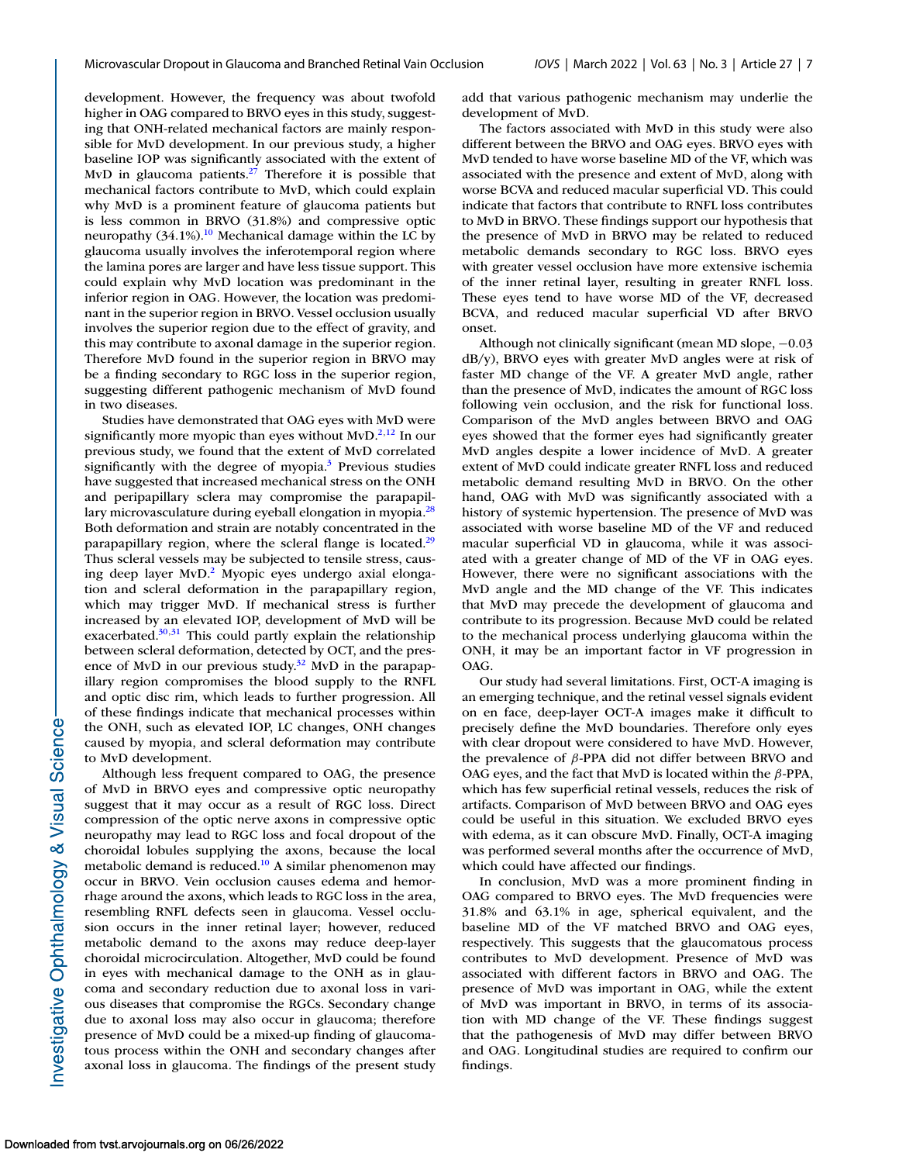development. However, the frequency was about twofold higher in OAG compared to BRVO eyes in this study, suggesting that ONH-related mechanical factors are mainly responsible for MvD development. In our previous study, a higher baseline IOP was significantly associated with the extent of MvD in glaucoma patients. $27$  Therefore it is possible that mechanical factors contribute to MvD, which could explain why MvD is a prominent feature of glaucoma patients but is less common in BRVO (31.8%) and compressive optic neuropathy  $(34.1\%)$ .<sup>10</sup> Mechanical damage within the LC by glaucoma usually involves the inferotemporal region where the lamina pores are larger and have less tissue support. This could explain why MvD location was predominant in the inferior region in OAG. However, the location was predominant in the superior region in BRVO. Vessel occlusion usually involves the superior region due to the effect of gravity, and this may contribute to axonal damage in the superior region. Therefore MvD found in the superior region in BRVO may be a finding secondary to RGC loss in the superior region, suggesting different pathogenic mechanism of MvD found in two diseases.

Studies have demonstrated that OAG eyes with MvD were significantly more myopic than eyes without  $MVD<sup>2,12</sup>$  In our previous study, we found that the extent of MvD correlated significantly with the degree of myopia.<sup>3</sup> Previous studies have suggested that increased mechanical stress on the ONH and peripapillary sclera may compromise the parapapillary microvasculature during eyeball elongation in myopia.<sup>28</sup> Both deformation and strain are notably concentrated in the parapapillary region, where the scleral flange is located.<sup>29</sup> Thus scleral vessels may be subjected to tensile stress, causing deep layer MvD.<sup>2</sup> Myopic eyes undergo axial elongation and scleral deformation in the parapapillary region, which may trigger MvD. If mechanical stress is further increased by an elevated IOP, development of MvD will be exacerbated. $30,31$  This could partly explain the relationship between scleral deformation, detected by OCT, and the presence of MvD in our previous study. $32$  MvD in the parapapillary region compromises the blood supply to the RNFL and optic disc rim, which leads to further progression. All of these findings indicate that mechanical processes within the ONH, such as elevated IOP, LC changes, ONH changes caused by myopia, and scleral deformation may contribute to MvD development.

Although less frequent compared to OAG, the presence of MvD in BRVO eyes and compressive optic neuropathy suggest that it may occur as a result of RGC loss. Direct compression of the optic nerve axons in compressive optic neuropathy may lead to RGC loss and focal dropout of the choroidal lobules supplying the axons, because the local metabolic demand is reduced.<sup>10</sup> A similar phenomenon may occur in BRVO. Vein occlusion causes edema and hemorrhage around the axons, which leads to RGC loss in the area, resembling RNFL defects seen in glaucoma. Vessel occlusion occurs in the inner retinal layer; however, reduced metabolic demand to the axons may reduce deep-layer choroidal microcirculation. Altogether, MvD could be found in eyes with mechanical damage to the ONH as in glaucoma and secondary reduction due to axonal loss in various diseases that compromise the RGCs. Secondary change due to axonal loss may also occur in glaucoma; therefore presence of MvD could be a mixed-up finding of glaucomatous process within the ONH and secondary changes after axonal loss in glaucoma. The findings of the present study add that various pathogenic mechanism may underlie the development of MvD.

The factors associated with MvD in this study were also different between the BRVO and OAG eyes. BRVO eyes with MvD tended to have worse baseline MD of the VF, which was associated with the presence and extent of MvD, along with worse BCVA and reduced macular superficial VD. This could indicate that factors that contribute to RNFL loss contributes to MvD in BRVO. These findings support our hypothesis that the presence of MvD in BRVO may be related to reduced metabolic demands secondary to RGC loss. BRVO eyes with greater vessel occlusion have more extensive ischemia of the inner retinal layer, resulting in greater RNFL loss. These eyes tend to have worse MD of the VF, decreased BCVA, and reduced macular superficial VD after BRVO onset.

Although not clinically significant (mean MD slope, −0.03 dB/y), BRVO eyes with greater MvD angles were at risk of faster MD change of the VF. A greater MvD angle, rather than the presence of MvD, indicates the amount of RGC loss following vein occlusion, and the risk for functional loss. Comparison of the MvD angles between BRVO and OAG eyes showed that the former eyes had significantly greater MvD angles despite a lower incidence of MvD. A greater extent of MvD could indicate greater RNFL loss and reduced metabolic demand resulting MvD in BRVO. On the other hand, OAG with MvD was significantly associated with a history of systemic hypertension. The presence of MvD was associated with worse baseline MD of the VF and reduced macular superficial VD in glaucoma, while it was associated with a greater change of MD of the VF in OAG eyes. However, there were no significant associations with the MvD angle and the MD change of the VF. This indicates that MvD may precede the development of glaucoma and contribute to its progression. Because MvD could be related to the mechanical process underlying glaucoma within the ONH, it may be an important factor in VF progression in OAG.

Our study had several limitations. First, OCT-A imaging is an emerging technique, and the retinal vessel signals evident on en face, deep-layer OCT-A images make it difficult to precisely define the MvD boundaries. Therefore only eyes with clear dropout were considered to have MvD. However, the prevalence of β-PPA did not differ between BRVO and OAG eyes, and the fact that MvD is located within the  $\beta$ -PPA, which has few superficial retinal vessels, reduces the risk of artifacts. Comparison of MvD between BRVO and OAG eyes could be useful in this situation. We excluded BRVO eyes with edema, as it can obscure MvD. Finally, OCT-A imaging was performed several months after the occurrence of MvD, which could have affected our findings.

In conclusion, MvD was a more prominent finding in OAG compared to BRVO eyes. The MvD frequencies were 31.8% and 63.1% in age, spherical equivalent, and the baseline MD of the VF matched BRVO and OAG eyes, respectively. This suggests that the glaucomatous process contributes to MvD development. Presence of MvD was associated with different factors in BRVO and OAG. The presence of MvD was important in OAG, while the extent of MvD was important in BRVO, in terms of its association with MD change of the VF. These findings suggest that the pathogenesis of MvD may differ between BRVO and OAG. Longitudinal studies are required to confirm our findings.